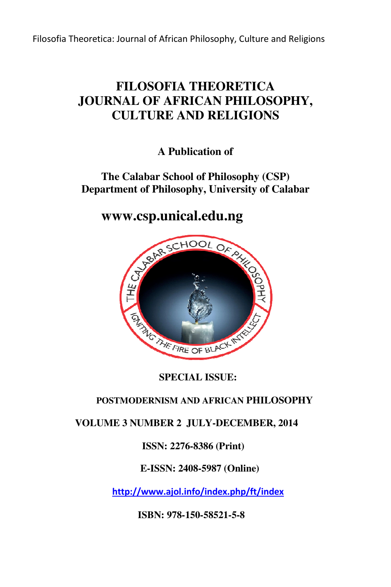Filosofia Theoretica: Journal of African Philosophy, Culture and Religions

# **FILOSOFIA THEORETICA JOURNAL OF AFRICAN PHILOSOPHY, CULTURE AND RELIGIONS**

**A Publication of** 

# **The Calabar School of Philosophy (CSP) Department of Philosophy, University of Calabar**

# **www.csp.unical.edu.ng**



 **SPECIAL ISSUE:** 

## **POSTMODERNISM AND AFRICAN PHILOSOPHY**

## **VOLUME 3 NUMBER 2 JULY-DECEMBER, 2014 DECEMBER,**

## **ISSN: 2276-8386 (Print)**

## **E-ISSN: 2408-5987 (Online)**

 **http://www.ajol.info/index.php/ft/index**

 **ISBN: 978-150-58521-5-8**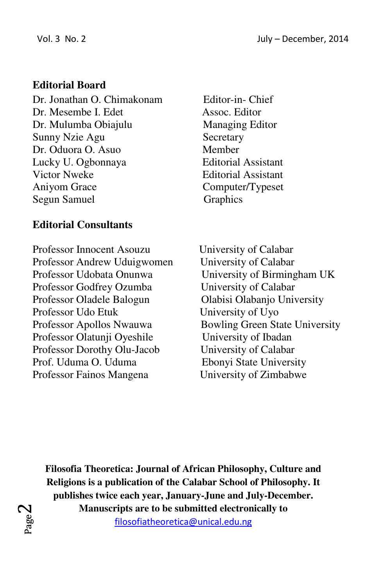## **Editorial Board**

Dr. Jonathan O. Chimakonam Editor-in- Chief Dr. Mesembe I. Edet Assoc. Editor Dr. Mulumba Obiajulu Managing Editor Sunny Nzie Agu Secretary Dr. Oduora O. Asuo Member Lucky U. Ogbonnaya Editorial Assistant Victor Nweke Editorial Assistant Aniyom Grace Computer/Typeset Segun Samuel Graphics

# **Editorial Consultants**

Professor Innocent Asouzu University of Calabar Professor Andrew Uduigwomen University of Calabar Professor Udobata Onunwa<br>
University of Birmingham UK Professor Godfrey Ozumba<br>
University of Calabar Professor Oladele Balogun Olabisi Olabanjo University Professor Udo Etuk University of Uyo Professor Apollos Nwauwa Bowling Green State University Professor Olatunji Oyeshile University of Ibadan Professor Dorothy Olu-Jacob University of Calabar Prof. Uduma O. Uduma **Ebonyi** State University Professor Fainos Mangena University of Zimbabwe

**Filosofia Theoretica: Journal of African Philosophy, Culture and Religions is a publication of the Calabar School of Philosophy. It publishes twice each year, January-June and July-December. Manuscripts are to be submitted electronically to**

filosofiatheoretica@unical.edu.ng

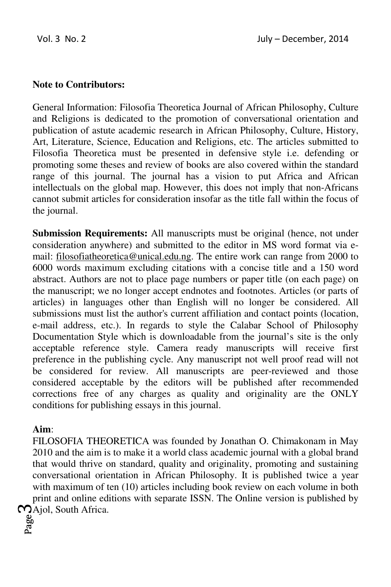#### **Note to Contributors:**

General Information: Filosofia Theoretica Journal of African Philosophy, Culture and Religions is dedicated to the promotion of conversational orientation and publication of astute academic research in African Philosophy, Culture, History, Art, Literature, Science, Education and Religions, etc. The articles submitted to Filosofia Theoretica must be presented in defensive style i.e. defending or promoting some theses and review of books are also covered within the standard range of this journal. The journal has a vision to put Africa and African intellectuals on the global map. However, this does not imply that non-Africans cannot submit articles for consideration insofar as the title fall within the focus of the journal.

**Submission Requirements:** All manuscripts must be original (hence, not under consideration anywhere) and submitted to the editor in MS word format via email: filosofiatheoretica@unical.edu.ng. The entire work can range from 2000 to 6000 words maximum excluding citations with a concise title and a 150 word abstract. Authors are not to place page numbers or paper title (on each page) on the manuscript; we no longer accept endnotes and footnotes. Articles (or parts of articles) in languages other than English will no longer be considered. All submissions must list the author's current affiliation and contact points (location, e-mail address, etc.). In regards to style the Calabar School of Philosophy Documentation Style which is downloadable from the journal's site is the only acceptable reference style. Camera ready manuscripts will receive first preference in the publishing cycle. Any manuscript not well proof read will not be considered for review. All manuscripts are peer-reviewed and those considered acceptable by the editors will be published after recommended corrections free of any charges as quality and originality are the ONLY conditions for publishing essays in this journal.

#### **Aim**:

Majol, South Africa. FILOSOFIA THEORETICA was founded by Jonathan O. Chimakonam in May 2010 and the aim is to make it a world class academic journal with a global brand that would thrive on standard, quality and originality, promoting and sustaining conversational orientation in African Philosophy. It is published twice a year with maximum of ten (10) articles including book review on each volume in both print and online editions with separate ISSN. The Online version is published by

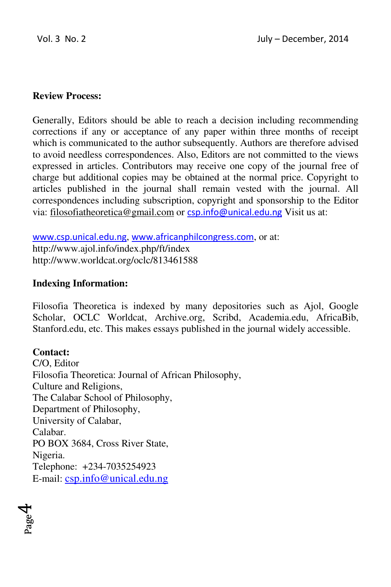#### **Review Process:**

Generally, Editors should be able to reach a decision including recommending corrections if any or acceptance of any paper within three months of receipt which is communicated to the author subsequently. Authors are therefore advised to avoid needless correspondences. Also, Editors are not committed to the views expressed in articles. Contributors may receive one copy of the journal free of charge but additional copies may be obtained at the normal price. Copyright to articles published in the journal shall remain vested with the journal. All correspondences including subscription, copyright and sponsorship to the Editor via: filosofiatheoretica@gmail.com or csp.info@unical.edu.ng Visit us at:

www.csp.unical.edu.ng, www.africanphilcongress.com, or at: http://www.ajol.info/index.php/ft/index http://www.worldcat.org/oclc/813461588

#### **Indexing Information:**

Filosofia Theoretica is indexed by many depositories such as Ajol, Google Scholar, OCLC Worldcat, Archive.org, Scribd, Academia.edu, AfricaBib, Stanford.edu, etc. This makes essays published in the journal widely accessible.

#### **Contact:**

C/O, Editor Filosofia Theoretica: Journal of African Philosophy, Culture and Religions, The Calabar School of Philosophy, Department of Philosophy, University of Calabar, Calabar. PO BOX 3684, Cross River State, Nigeria. Telephone: +234-7035254923 E-mail: csp.info@unical.edu.ng

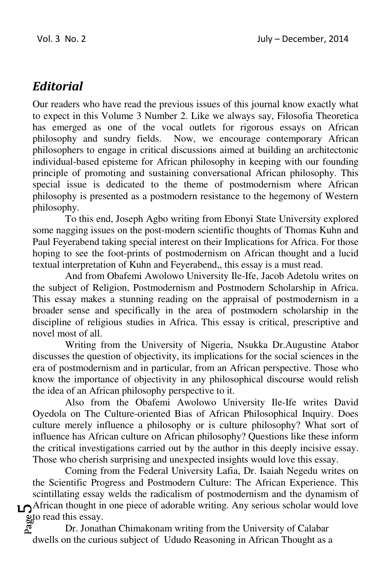# *Editorial*

Our readers who have read the previous issues of this journal know exactly what to expect in this Volume 3 Number 2. Like we always say, Filosofia Theoretica has emerged as one of the vocal outlets for rigorous essays on African philosophy and sundry fields. Now, we encourage contemporary African philosophers to engage in critical discussions aimed at building an architectonic individual-based episteme for African philosophy in keeping with our founding principle of promoting and sustaining conversational African philosophy. This special issue is dedicated to the theme of postmodernism where African philosophy is presented as a postmodern resistance to the hegemony of Western philosophy.

To this end, Joseph Agbo writing from Ebonyi State University explored some nagging issues on the post-modern scientific thoughts of Thomas Kuhn and Paul Feyerabend taking special interest on their Implications for Africa. For those hoping to see the foot-prints of postmodernism on African thought and a lucid textual interpretation of Kuhn and Feyerabend,, this essay is a must read.

And from Obafemi Awolowo University Ile-Ife, Jacob Adetolu writes on the subject of Religion, Postmodernism and Postmodern Scholarship in Africa. This essay makes a stunning reading on the appraisal of postmodernism in a broader sense and specifically in the area of postmodern scholarship in the discipline of religious studies in Africa. This essay is critical, prescriptive and novel most of all.

Writing from the University of Nigeria, Nsukka Dr.Augustine Atabor discusses the question of objectivity, its implications for the social sciences in the era of postmodernism and in particular, from an African perspective. Those who know the importance of objectivity in any philosophical discourse would relish the idea of an African philosophy perspective to it.

Also from the Obafemi Awolowo University Ile-Ife writes David Oyedola on The Culture-oriented Bias of African Philosophical Inquiry. Does culture merely influence a philosophy or is culture philosophy? What sort of influence has African culture on African philosophy? Questions like these inform the critical investigations carried out by the author in this deeply incisive essay. Those who cherish surprising and unexpected insights would love this essay.

 $\mathbf{L}$ African thought in one piece of adorable writing. Any serious scholar would love Coming from the Federal University Lafia, Dr. Isaiah Negedu writes on the Scientific Progress and Postmodern Culture: The African Experience. This scintillating essay welds the radicalism of postmodernism and the dynamism of

 $\frac{a}{b}$  read this essay.<br>Dr. Jonath Dr. Jonathan Chimakonam writing from the University of Calabar dwells on the curious subject of Ududo Reasoning in African Thought as a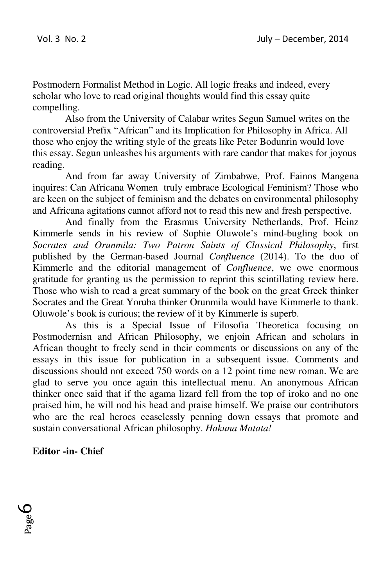Postmodern Formalist Method in Logic. All logic freaks and indeed, every scholar who love to read original thoughts would find this essay quite compelling.

Also from the University of Calabar writes Segun Samuel writes on the controversial Prefix "African" and its Implication for Philosophy in Africa. All those who enjoy the writing style of the greats like Peter Bodunrin would love this essay. Segun unleashes his arguments with rare candor that makes for joyous reading.

And from far away University of Zimbabwe, Prof. Fainos Mangena inquires: Can Africana Women truly embrace Ecological Feminism? Those who are keen on the subject of feminism and the debates on environmental philosophy and Africana agitations cannot afford not to read this new and fresh perspective.

And finally from the Erasmus University Netherlands, Prof. Heinz Kimmerle sends in his review of Sophie Oluwole's mind-bugling book on *Socrates and Orunmila: Two Patron Saints of Classical Philosophy*, first published by the German-based Journal *Confluence* (2014). To the duo of Kimmerle and the editorial management of *Confluence*, we owe enormous gratitude for granting us the permission to reprint this scintillating review here. Those who wish to read a great summary of the book on the great Greek thinker Socrates and the Great Yoruba thinker Orunmila would have Kimmerle to thank. Oluwole's book is curious; the review of it by Kimmerle is superb.

As this is a Special Issue of Filosofia Theoretica focusing on Postmodernisn and African Philosophy, we enjoin African and scholars in African thought to freely send in their comments or discussions on any of the essays in this issue for publication in a subsequent issue. Comments and discussions should not exceed 750 words on a 12 point time new roman. We are glad to serve you once again this intellectual menu. An anonymous African thinker once said that if the agama lizard fell from the top of iroko and no one praised him, he will nod his head and praise himself. We praise our contributors who are the real heroes ceaselessly penning down essays that promote and sustain conversational African philosophy. *Hakuna Matata!* 

#### **Editor -in- Chief**

Page 6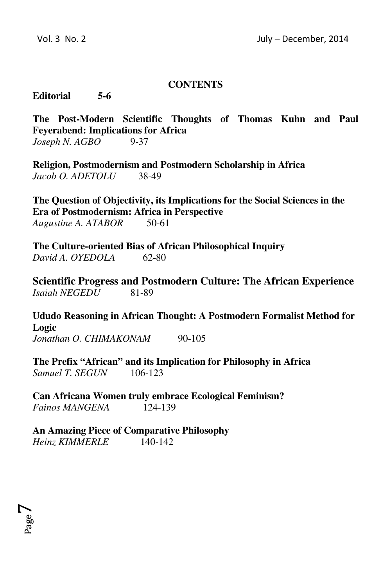#### **CONTENTS**

#### **Editorial 5-6**

**The Post-Modern Scientific Thoughts of Thomas Kuhn and Paul Feyerabend: Implications for Africa**  *Joseph N. AGBO* 9-37

**Religion, Postmodernism and Postmodern Scholarship in Africa**  *Jacob O. ADETOLU*38-49

**The Question of Objectivity, its Implications for the Social Sciences in the Era of Postmodernism: Africa in Perspective**  *Augustine A. ATABOR* 50-61

**The Culture-oriented Bias of African Philosophical Inquiry**  *David A. OYEDOLA* 62-80

**Scientific Progress and Postmodern Culture: The African Experience**  *Isaiah NEGEDU* 81-89

**Ududo Reasoning in African Thought: A Postmodern Formalist Method for Logic**  *Jonathan O. CHIMAKONAM* 90-105

**The Prefix "African" and its Implication for Philosophy in Africa**  *Samuel T. SEGUN* 106-123

**Can Africana Women truly embrace Ecological Feminism?**  *Fainos MANGENA* 124-139

**An Amazing Piece of Comparative Philosophy** *Heinz KIMMERLE* 140-142

Page  $\blacktriangleright$